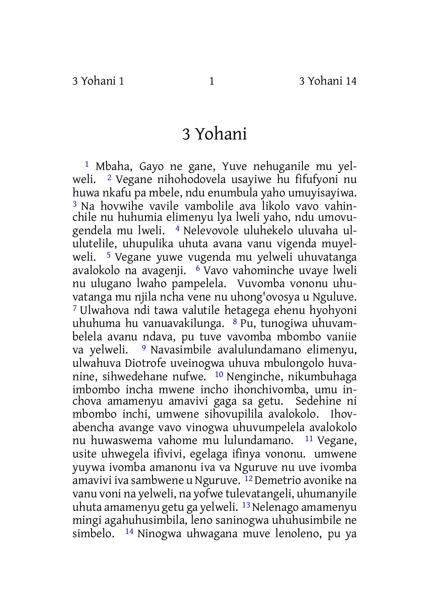## 3 Yohani

1 Mbaha, Gayo ne gane, Yuve nehuganile mu yelweli. 2 Vegane nihohodovela usayiwe hu fifufyoni nu huwa nkafu pa mbele, ndu enumbula yaho umuyisayiwa. 3 Na hovwihe vavile vambolile ava likolo vavo vahinchile nu huhumia elimenyu lya lweli yaho, ndu umovugendela mu lweli. 4 Nelevovole uluhekelo uluvaha ululutelile, uhupulika uhuta avana vanu vigenda muyelweli. 5 Vegane yuwe vugenda mu yelweli uhuvatanga avalokolo na avagenji. 6 Vavo vahominche uvaye lweli nu ulugano lwaho pampelela. Vuvomba vononu uhuvatanga mu njila ncha vene nu uhong'ovosya u Nguluve. 7 Ulwahova ndi tawa valutile hetagega ehenu hyohyoni uhuhuma hu vanuavakilunga. 8 Pu, tunogiwa uhuvambelela avanu ndava, pu tuve vavomba mbombo vaniie va yelweli. 9 Navasimbile avalulundamano elimenyu, ulwahuva Diotrofe uveinogwa uhuva mbulongolo huvanine, sihwedehane nufwe. 10 Nenginche, nikumbuhaga imbombo incha mwene incho ihonchivomba, umu inchova amamenyu amavivi gaga sa getu. Sedehine ni mbombo inchi, umwene sihovupilila avalokolo. Ihovabencha avange vavo vinogwa uhuvumpelela avalokolo nu huwaswema vahome mu lulundamano. 11 Vegane, usite uhwegela ifivivi, egelaga ifinya vononu. umwene yuywa ivomba amanonu iva va Nguruve nu uve ivomba amavivi iva sambwene u Nguruve. 12Demetrio avonike na vanu voni na yelweli, na yofwe tulevatangeli, uhumanyile uhuta amamenyu getu ga yelweli. <sup>13</sup> Nelenago amamenyu mingi agahuhusimbila, leno saninogwa uhuhusimbile ne simbelo. 14 Ninogwa uhwagana muve lenoleno, pu ya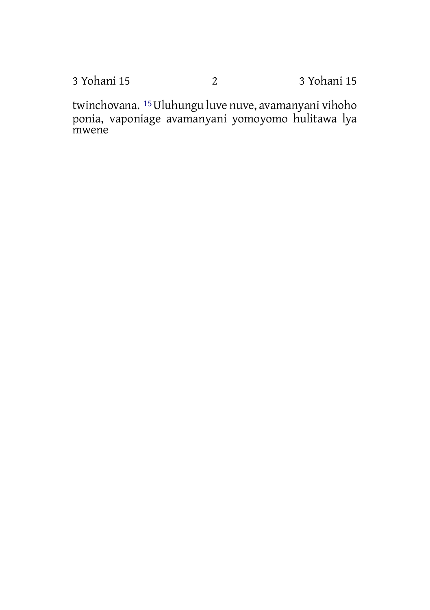3 Yohani 15 2 3 Yohani 15

twinchovana. <sup>15</sup> Uluhungu luve nuve, avamanyani vihoho ponia, vaponiage avamanyani yomoyomo hulitawa lya mwene